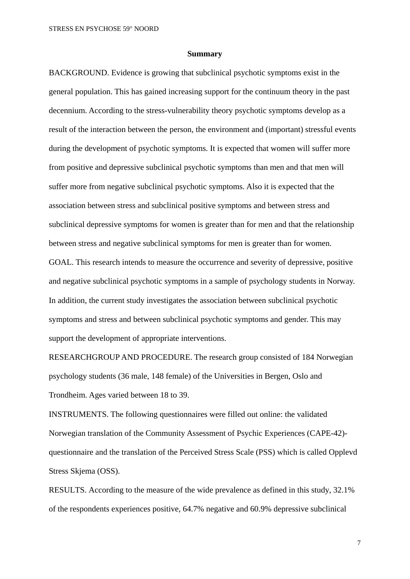## **Summary**

BACKGROUND. Evidence is growing that subclinical psychotic symptoms exist in the general population. This has gained increasing support for the continuum theory in the past decennium. According to the stress-vulnerability theory psychotic symptoms develop as a result of the interaction between the person, the environment and (important) stressful events during the development of psychotic symptoms. It is expected that women will suffer more from positive and depressive subclinical psychotic symptoms than men and that men will suffer more from negative subclinical psychotic symptoms. Also it is expected that the association between stress and subclinical positive symptoms and between stress and subclinical depressive symptoms for women is greater than for men and that the relationship between stress and negative subclinical symptoms for men is greater than for women. GOAL. This research intends to measure the occurrence and severity of depressive, positive and negative subclinical psychotic symptoms in a sample of psychology students in Norway.

In addition, the current study investigates the association between subclinical psychotic symptoms and stress and between subclinical psychotic symptoms and gender. This may support the development of appropriate interventions.

RESEARCHGROUP AND PROCEDURE. The research group consisted of 184 Norwegian psychology students (36 male, 148 female) of the Universities in Bergen, Oslo and Trondheim. Ages varied between 18 to 39.

INSTRUMENTS. The following questionnaires were filled out online: the validated Norwegian translation of the Community Assessment of Psychic Experiences (CAPE-42) questionnaire and the translation of the Perceived Stress Scale (PSS) which is called Opplevd Stress Skjema (OSS).

RESULTS. According to the measure of the wide prevalence as defined in this study, 32.1% of the respondents experiences positive, 64.7% negative and 60.9% depressive subclinical

7